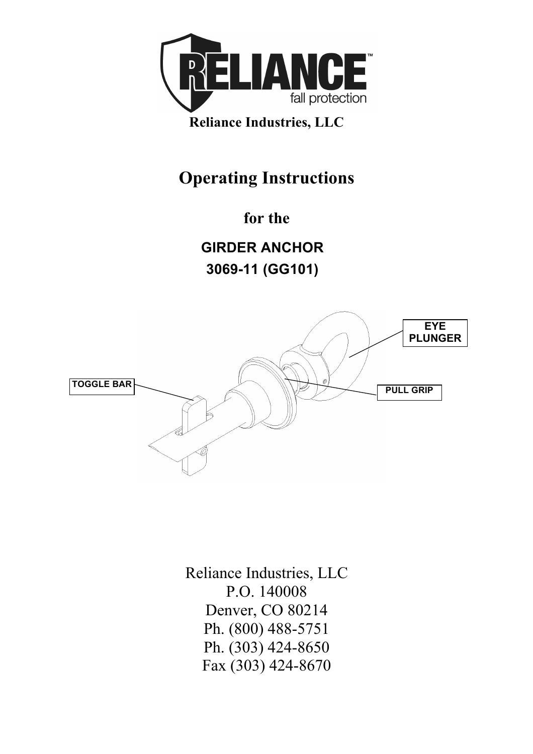

## **Operating Instructions**

**for the** 

**GIRDER ANCHOR 3069-11 (GG101)**



Reliance Industries, LLC P.O. 140008 Denver, CO 80214 Ph. (800) 488-5751 Ph. (303) 424-8650 Fax (303) 424-8670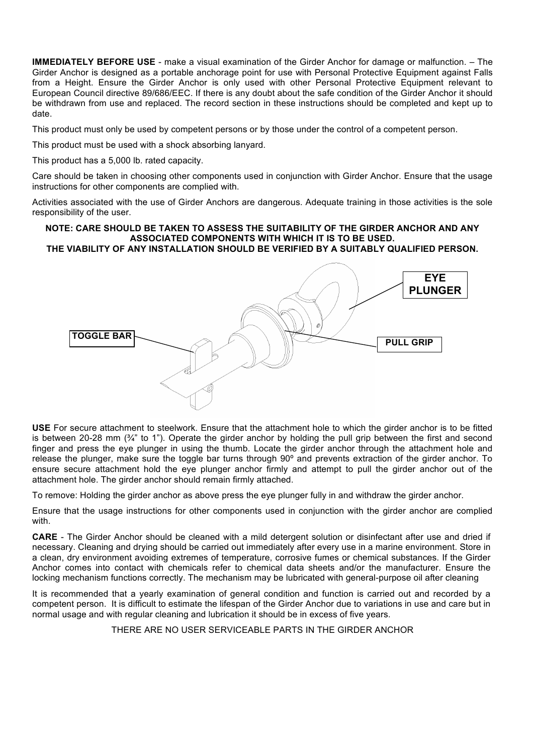**IMMEDIATELY BEFORE USE** - make a visual examination of the Girder Anchor for damage or malfunction. – The Girder Anchor is designed as a portable anchorage point for use with Personal Protective Equipment against Falls from a Height. Ensure the Girder Anchor is only used with other Personal Protective Equipment relevant to European Council directive 89/686/EEC. If there is any doubt about the safe condition of the Girder Anchor it should be withdrawn from use and replaced. The record section in these instructions should be completed and kept up to date.

This product must only be used by competent persons or by those under the control of a competent person.

This product must be used with a shock absorbing lanyard.

This product has a 5,000 lb. rated capacity.

Care should be taken in choosing other components used in conjunction with Girder Anchor. Ensure that the usage instructions for other components are complied with.

Activities associated with the use of Girder Anchors are dangerous. Adequate training in those activities is the sole responsibility of the user.

## **NOTE: CARE SHOULD BE TAKEN TO ASSESS THE SUITABILITY OF THE GIRDER ANCHOR AND ANY ASSOCIATED COMPONENTS WITH WHICH IT IS TO BE USED.**

**THE VIABILITY OF ANY INSTALLATION SHOULD BE VERIFIED BY A SUITABLY QUALIFIED PERSON.**



**USE** For secure attachment to steelwork. Ensure that the attachment hole to which the girder anchor is to be fitted is between 20-28 mm  $(34)$ " to 1"). Operate the girder anchor by holding the pull grip between the first and second finger and press the eye plunger in using the thumb. Locate the girder anchor through the attachment hole and release the plunger, make sure the toggle bar turns through 90º and prevents extraction of the girder anchor. To ensure secure attachment hold the eye plunger anchor firmly and attempt to pull the girder anchor out of the attachment hole. The girder anchor should remain firmly attached.

To remove: Holding the girder anchor as above press the eye plunger fully in and withdraw the girder anchor.

Ensure that the usage instructions for other components used in conjunction with the girder anchor are complied with.

**CARE** - The Girder Anchor should be cleaned with a mild detergent solution or disinfectant after use and dried if necessary. Cleaning and drying should be carried out immediately after every use in a marine environment. Store in a clean, dry environment avoiding extremes of temperature, corrosive fumes or chemical substances. If the Girder Anchor comes into contact with chemicals refer to chemical data sheets and/or the manufacturer. Ensure the locking mechanism functions correctly. The mechanism may be lubricated with general-purpose oil after cleaning

It is recommended that a yearly examination of general condition and function is carried out and recorded by a competent person. It is difficult to estimate the lifespan of the Girder Anchor due to variations in use and care but in normal usage and with regular cleaning and lubrication it should be in excess of five years.

THERE ARE NO USER SERVICEABLE PARTS IN THE GIRDER ANCHOR